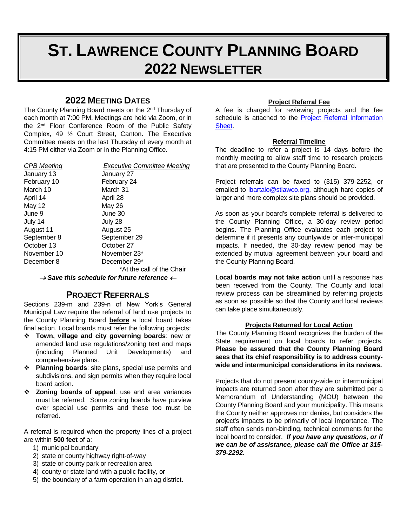# **ST. LAWRENCE COUNTY PLANNING BOARD 2022 NEWSLETTER**

## **2022 MEETING DATES**

The County Planning Board meets on the 2<sup>nd</sup> Thursday of each month at 7:00 PM. Meetings are held via Zoom, or in the 2nd Floor Conference Room of the Public Safety Complex, 49 ½ Court Street, Canton. The Executive Committee meets on the last Thursday of every month at 4:15 PM either via Zoom or in the Planning Office.

#### *CPB Meeting Executive Committee Meeting*

January 13 January 27 February 10 February 24 March 10 March 31 April 14 April 28 May 12 May 26 June 9 June 30 July 14 July 28 August 11 August 25 September 8 September 29 October 13 October 27 November 10 November 23\* December 8 December 29\* \*At the call of the Chair

 $\rightarrow$  Save this schedule for future reference  $\leftarrow$ 

## **PROJECT REFERRALS**

Sections 239-m and 239-n of New York's General Municipal Law require the referral of land use projects to the County Planning Board **before** a local board takes final action. Local boards must refer the following projects:

- **Town, village and city governing boards**: new or amended land use regulations/zoning text and maps (including Planned Unit Developments) and comprehensive plans.
- **Planning boards**: site plans, special use permits and subdivisions, and sign permits when they require local board action.
- **Zoning boards of appeal**: use and area variances must be referred. Some zoning boards have purview over special use permits and these too must be referred.

A referral is required when the property lines of a project are within **500 feet** of a:

- 1) municipal boundary
- 2) state or county highway right-of-way
- 3) state or county park or recreation area
- 4) county or state land with a public facility, or
- 5) the boundary of a farm operation in an ag district.

#### **Project Referral Fee**

A fee is charged for reviewing projects and the fee schedule is attached to the Project Referral Information [Sheet.](https://www.stlawco.org/Departments/Planning/ProjectReview)

#### **Referral Timeline**

The deadline to refer a project is 14 days before the monthly meeting to allow staff time to research projects that are presented to the County Planning Board.

Project referrals can be faxed to (315) 379-2252, or emailed to **bartalo@stlawco.org**, although hard copies of larger and more complex site plans should be provided.

As soon as your board's complete referral is delivered to the County Planning Office, a 30-day review period begins. The Planning Office evaluates each project to determine if it presents any countywide or inter-municipal impacts. If needed, the 30-day review period may be extended by mutual agreement between your board and the County Planning Board.

**Local boards may not take action** until a response has been received from the County. The County and local review process can be streamlined by referring projects as soon as possible so that the County and local reviews can take place simultaneously.

#### **Projects Returned for Local Action**

The County Planning Board recognizes the burden of the State requirement on local boards to refer projects. **Please be assured that the County Planning Board sees that its chief responsibility is to address countywide and intermunicipal considerations in its reviews.**

Projects that do not present county-wide or intermunicipal impacts are returned soon after they are submitted per a Memorandum of Understanding (MOU) between the County Planning Board and your municipality. This means the County neither approves nor denies, but considers the project's impacts to be primarily of local importance. The staff often sends non-binding, technical comments for the local board to consider. *If you have any questions, or if we can be of assistance, please call the Office at 315- 379-2292***.**